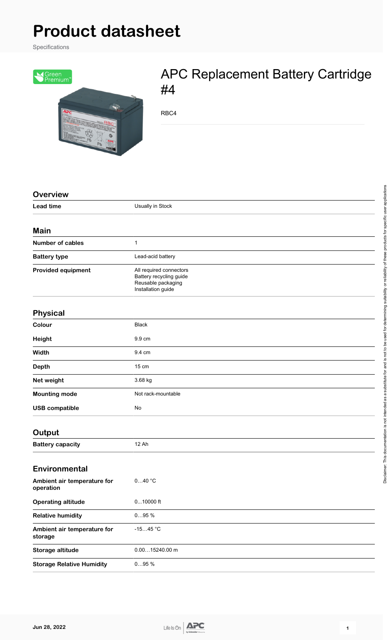# **Product datasheet**

Specifications



## APC Replacement Battery Cartridge #4

RBC4

| <b>Overview</b>                          |                                                                                                |
|------------------------------------------|------------------------------------------------------------------------------------------------|
| <b>Lead time</b>                         | Usually in Stock                                                                               |
| <b>Main</b>                              |                                                                                                |
| <b>Number of cables</b>                  | 1                                                                                              |
| <b>Battery type</b>                      | Lead-acid battery                                                                              |
| <b>Provided equipment</b>                | All required connectors<br>Battery recycling guide<br>Reusable packaging<br>Installation guide |
| <b>Physical</b>                          |                                                                                                |
| Colour                                   | <b>Black</b>                                                                                   |
| Height                                   | 9.9 cm                                                                                         |
| Width                                    | 9.4 cm                                                                                         |
| <b>Depth</b>                             | 15 cm                                                                                          |
| Net weight                               | 3.68 kg                                                                                        |
| <b>Mounting mode</b>                     | Not rack-mountable                                                                             |
| <b>USB compatible</b>                    | No                                                                                             |
| Output                                   |                                                                                                |
| <b>Battery capacity</b>                  | 12 Ah                                                                                          |
| <b>Environmental</b>                     |                                                                                                |
| Ambient air temperature for<br>operation | $040$ $^{\circ} \mathrm{C}$                                                                    |
| <b>Operating altitude</b>                | $010000$ ft                                                                                    |
| <b>Relative humidity</b>                 | 095%                                                                                           |
| Ambient air temperature for<br>storage   | $-1545 °C$                                                                                     |
| Storage altitude                         | $0.0015240.00$ m                                                                               |
| <b>Storage Relative Humidity</b>         | $095%$                                                                                         |



Disclaimer: This documentation is not intended as a substitute for and is not to be used for determining suitability or reliability of these products for specific user applications

Disclaimer. This documentation is not intended as a substitute for and is not to be used for determining suitability or reliability of these products for specific user applications